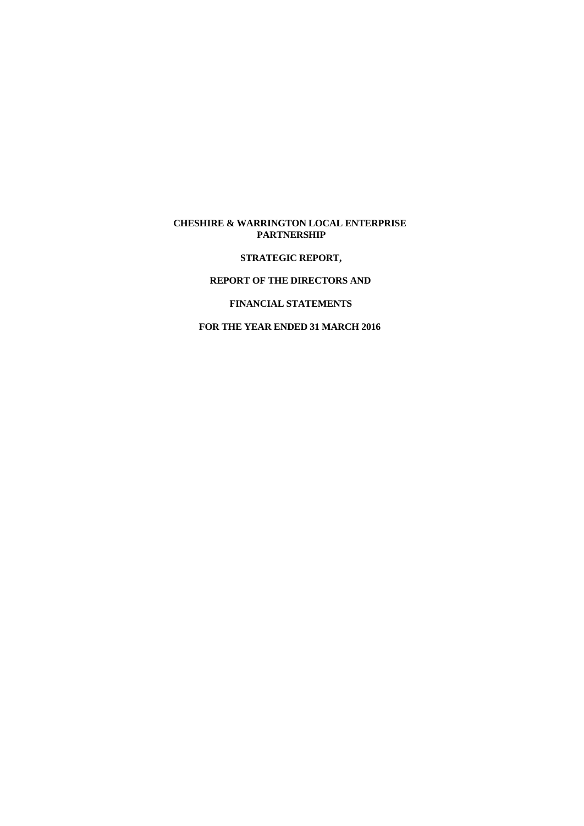### **CHESHIRE & WARRINGTON LOCAL ENTERPRISE PARTNERSHIP**

**STRATEGIC REPORT,**

### **REPORT OF THE DIRECTORS AND**

# **FINANCIAL STATEMENTS**

# **FOR THE YEAR ENDED 31 MARCH 2016**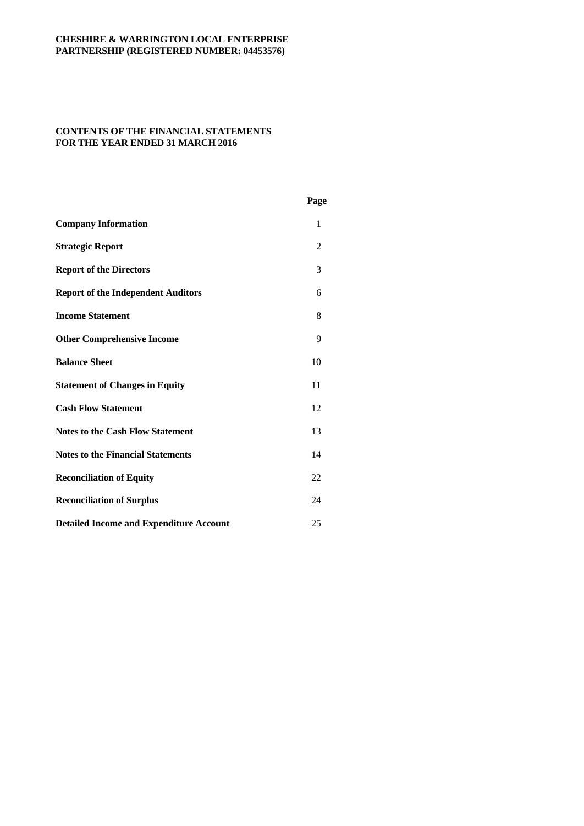# **CONTENTS OF THE FINANCIAL STATEMENTS FOR THE YEAR ENDED 31 MARCH 2016**

|                                                | Page           |  |
|------------------------------------------------|----------------|--|
| <b>Company Information</b>                     | $\mathbf{1}$   |  |
| <b>Strategic Report</b>                        | $\overline{2}$ |  |
| <b>Report of the Directors</b>                 | 3              |  |
| <b>Report of the Independent Auditors</b>      | 6              |  |
| <b>Income Statement</b>                        | 8              |  |
| <b>Other Comprehensive Income</b>              | 9              |  |
| <b>Balance Sheet</b>                           | 10             |  |
| <b>Statement of Changes in Equity</b>          | 11             |  |
| <b>Cash Flow Statement</b>                     | 12             |  |
| <b>Notes to the Cash Flow Statement</b>        | 13             |  |
| <b>Notes to the Financial Statements</b>       | 14             |  |
| <b>Reconciliation of Equity</b>                | 22             |  |
| <b>Reconciliation of Surplus</b>               | 24             |  |
| <b>Detailed Income and Expenditure Account</b> | 25             |  |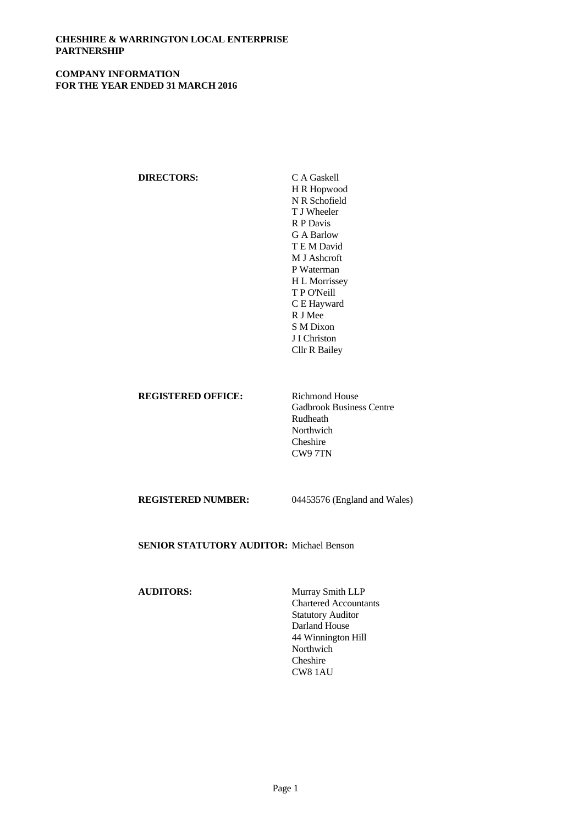# **CHESHIRE & WARRINGTON LOCAL ENTERPRISE PARTNERSHIP**

# **COMPANY INFORMATION FOR THE YEAR ENDED 31 MARCH 2016**

# **DIRECTORS:** C A Gaskell

H R Hopwood N R Schofield T J Wheeler R P Davis G A Barlow T E M David M J Ashcroft P Waterman H L Morrissey T P O'Neill C E Hayward R J Mee S M Dixon J I Christon Cllr R Bailey

### **REGISTERED OFFICE:** Richmond House

Gadbrook Business Centre Rudheath Northwich Cheshire CW9 7TN

**REGISTERED NUMBER:** 04453576 (England and Wales)

**SENIOR STATUTORY AUDITOR:** Michael Benson

### **AUDITORS:** Murray Smith LLP

Chartered Accountants Statutory Auditor Darland House 44 Winnington Hill Northwich Cheshire CW8 1AU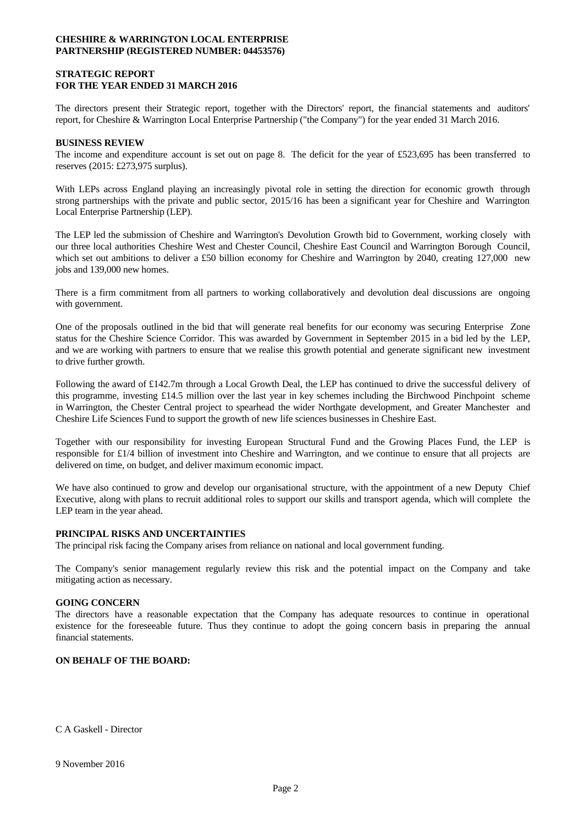### **STRATEGIC REPORT FOR THE YEAR ENDED 31 MARCH 2016**

The directors present their Strategic report, together with the Directors' report, the financial statements and auditors' report, for Cheshire & Warrington Local Enterprise Partnership ("the Company") for the year ended 31 March 2016.

### **BUSINESS REVIEW**

The income and expenditure account is set out on page 8. The deficit for the year of £523,695 has been transferred to reserves (2015: £273,975 surplus).

With LEPs across England playing an increasingly pivotal role in setting the direction for economic growth through strong partnerships with the private and public sector, 2015/16 has been a significant year for Cheshire and Warrington Local Enterprise Partnership (LEP).

The LEP led the submission of Cheshire and Warrington's Devolution Growth bid to Government, working closely with our three local authorities Cheshire West and Chester Council, Cheshire East Council and Warrington Borough Council, which set out ambitions to deliver a £50 billion economy for Cheshire and Warrington by 2040, creating 127,000 new jobs and 139,000 new homes.

There is a firm commitment from all partners to working collaboratively and devolution deal discussions are ongoing with government.

One of the proposals outlined in the bid that will generate real benefits for our economy was securing Enterprise Zone status for the Cheshire Science Corridor. This was awarded by Government in September 2015 in a bid led by the LEP, and we are working with partners to ensure that we realise this growth potential and generate significant new investment to drive further growth.

Following the award of £142.7m through a Local Growth Deal, the LEP has continued to drive the successful delivery of this programme, investing £14.5 million over the last year in key schemes including the Birchwood Pinchpoint scheme in Warrington, the Chester Central project to spearhead the wider Northgate development, and Greater Manchester and Cheshire Life Sciences Fund to support the growth of new life sciences businesses in Cheshire East.

Together with our responsibility for investing European Structural Fund and the Growing Places Fund, the LEP is responsible for £1/4 billion of investment into Cheshire and Warrington, and we continue to ensure that all projects are delivered on time, on budget, and deliver maximum economic impact.

We have also continued to grow and develop our organisational structure, with the appointment of a new Deputy Chief Executive, along with plans to recruit additional roles to support our skills and transport agenda, which will complete the LEP team in the year ahead.

### **PRINCIPAL RISKS AND UNCERTAINTIES**

The principal risk facing the Company arises from reliance on national and local government funding.

The Company's senior management regularly review this risk and the potential impact on the Company and take mitigating action as necessary.

#### **GOING CONCERN**

The directors have a reasonable expectation that the Company has adequate resources to continue in operational existence for the foreseeable future. Thus they continue to adopt the going concern basis in preparing the annual financial statements.

### **ON BEHALF OF THE BOARD:**

C A Gaskell - Director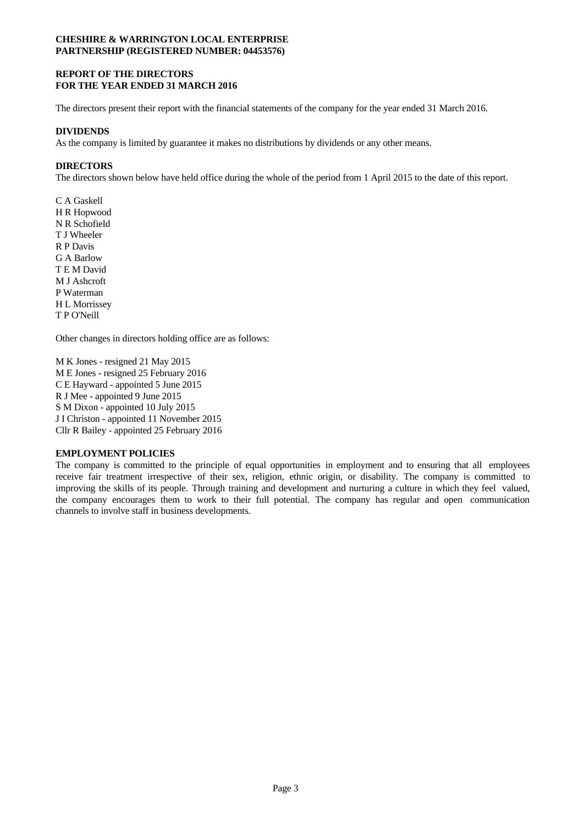# **REPORT OF THE DIRECTORS FOR THE YEAR ENDED 31 MARCH 2016**

The directors present their report with the financial statements of the company for the year ended 31 March 2016.

## **DIVIDENDS**

As the company is limited by guarantee it makes no distributions by dividends or any other means.

# **DIRECTORS**

The directors shown below have held office during the whole of the period from 1 April 2015 to the date of this report.

C A Gaskell H R Hopwood N R Schofield T J Wheeler R P Davis G A Barlow T E M David M J Ashcroft P Waterman H L Morrissey T P O'Neill

Other changes in directors holding office are as follows:

M K Jones - resigned 21 May 2015 M E Jones - resigned 25 February 2016 C E Hayward - appointed 5 June 2015 R J Mee - appointed 9 June 2015 S M Dixon - appointed 10 July 2015 J I Christon - appointed 11 November 2015 Cllr R Bailey - appointed 25 February 2016

### **EMPLOYMENT POLICIES**

The company is committed to the principle of equal opportunities in employment and to ensuring that all employees receive fair treatment irrespective of their sex, religion, ethnic origin, or disability. The company is committed to improving the skills of its people. Through training and development and nurturing a culture in which they feel valued, the company encourages them to work to their full potential. The company has regular and open communication channels to involve staff in business developments.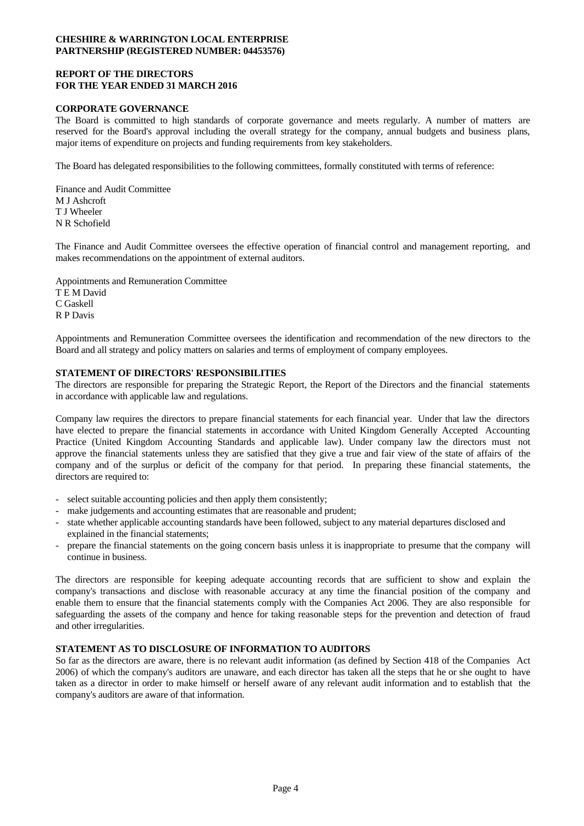# **REPORT OF THE DIRECTORS FOR THE YEAR ENDED 31 MARCH 2016**

## **CORPORATE GOVERNANCE**

The Board is committed to high standards of corporate governance and meets regularly. A number of matters are reserved for the Board's approval including the overall strategy for the company, annual budgets and business plans, major items of expenditure on projects and funding requirements from key stakeholders.

The Board has delegated responsibilities to the following committees, formally constituted with terms of reference:

Finance and Audit Committee M J Ashcroft T J Wheeler N R Schofield

The Finance and Audit Committee oversees the effective operation of financial control and management reporting, and makes recommendations on the appointment of external auditors.

Appointments and Remuneration Committee T E M David C Gaskell R P Davis

Appointments and Remuneration Committee oversees the identification and recommendation of the new directors to the Board and all strategy and policy matters on salaries and terms of employment of company employees.

# **STATEMENT OF DIRECTORS' RESPONSIBILITIES**

The directors are responsible for preparing the Strategic Report, the Report of the Directors and the financial statements in accordance with applicable law and regulations.

Company law requires the directors to prepare financial statements for each financial year. Under that law the directors have elected to prepare the financial statements in accordance with United Kingdom Generally Accepted Accounting Practice (United Kingdom Accounting Standards and applicable law). Under company law the directors must not approve the financial statements unless they are satisfied that they give a true and fair view of the state of affairs of the company and of the surplus or deficit of the company for that period. In preparing these financial statements, the

- 
- 
- directors are required to:<br>
select suitable accounting policies and then apply them consistently;<br>
make judgements and accounting estimates that are reasonable and prudent;<br>
state whether applicable accounting standa explained in the financial statements;<br>prepare the financial statements on the going concern basis unless it is inappropriate to presume that the company will
- continue in business.

The directors are responsible for keeping adequate accounting records that are sufficient to show and explain the company's transactions and disclose with reasonable accuracy at any time the financial position of the company and enable them to ensure that the financial statements comply with the Companies Act 2006. They are also responsible for safeguarding the assets of the company and hence for taking reasonable steps for the prevention and detection of fraud and other irregularities.

### **STATEMENT AS TO DISCLOSURE OF INFORMATION TO AUDITORS**

So far as the directors are aware, there is no relevant audit information (as defined by Section 418 of the Companies Act 2006) of which the company's auditors are unaware, and each director has taken all the steps that he or she ought to have taken as a director in order to make himself or herself aware of any relevant audit information and to establish that the company's auditors are aware of that information.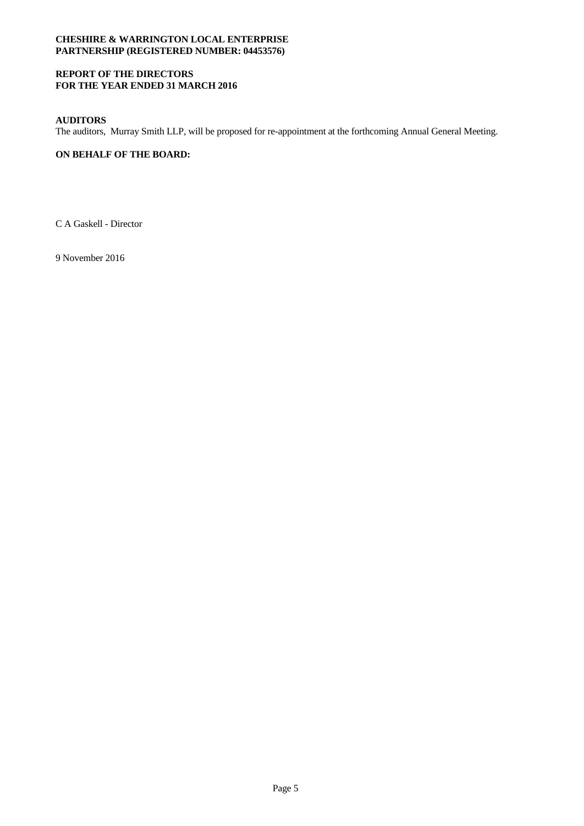# **REPORT OF THE DIRECTORS FOR THE YEAR ENDED 31 MARCH 2016**

# **AUDITORS**

The auditors, Murray Smith LLP, will be proposed for re-appointment at the forthcoming Annual General Meeting.

# **ON BEHALF OF THE BOARD:**

C A Gaskell - Director

9 November 2016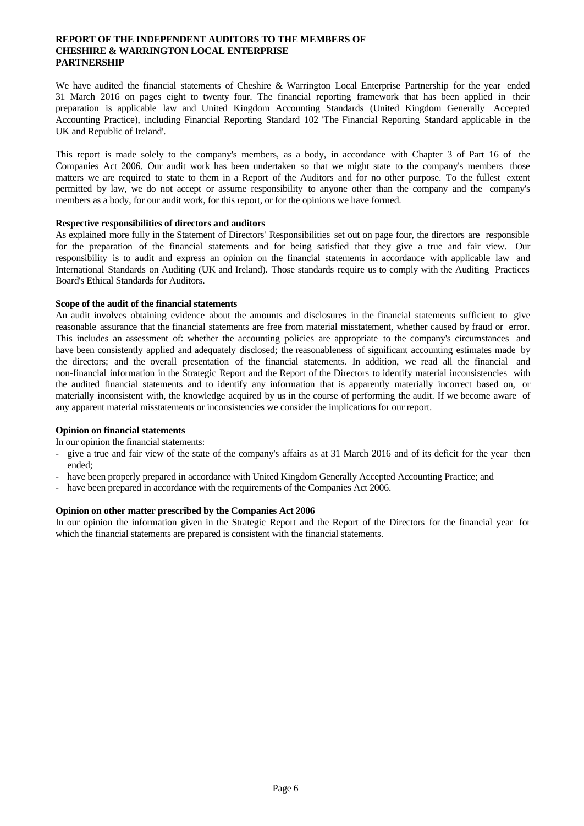#### **REPORT OF THE INDEPENDENT AUDITORS TO THE MEMBERS OF CHESHIRE & WARRINGTON LOCAL ENTERPRISE PARTNERSHIP**

We have audited the financial statements of Cheshire & Warrington Local Enterprise Partnership for the year ended 31 March 2016 on pages eight to twenty four. The financial reporting framework that has been applied in their preparation is applicable law and United Kingdom Accounting Standards (United Kingdom Generally Accepted Accounting Practice), including Financial Reporting Standard 102 'The Financial Reporting Standard applicable in the UK and Republic of Ireland'.

This report is made solely to the company's members, as a body, in accordance with Chapter 3 of Part 16 of the Companies Act 2006. Our audit work has been undertaken so that we might state to the company's members those matters we are required to state to them in a Report of the Auditors and for no other purpose. To the fullest extent permitted by law, we do not accept or assume responsibility to anyone other than the company and the company's members as a body, for our audit work, for this report, or for the opinions we have formed.

### **Respective responsibilities of directors and auditors**

As explained more fully in the Statement of Directors' Responsibilities set out on page four, the directors are responsible for the preparation of the financial statements and for being satisfied that they give a true and fair view. Our responsibility is to audit and express an opinion on the financial statements in accordance with applicable law and International Standards on Auditing (UK and Ireland). Those standards require us to comply with the Auditing Practices Board's Ethical Standards for Auditors.

## **Scope of the audit of the financial statements**

An audit involves obtaining evidence about the amounts and disclosures in the financial statements sufficient to give reasonable assurance that the financial statements are free from material misstatement, whether caused by fraud or error. This includes an assessment of: whether the accounting policies are appropriate to the company's circumstances and have been consistently applied and adequately disclosed; the reasonableness of significant accounting estimates made by the directors; and the overall presentation of the financial statements. In addition, we read all the financial and non-financial information in the Strategic Report and the Report of the Directors to identify material inconsistencies with the audited financial statements and to identify any information that is apparently materially incorrect based on, or materially inconsistent with, the knowledge acquired by us in the course of performing the audit. If we become aware of any apparent material misstatements or inconsistencies we consider the implications for our report.

#### **Opinion on financial statements**

- In our opinion the financial statements:<br>- give a true and fair view of the state of the company's affairs as at 31 March 2016 and of its deficit for the year then
- ended;<br>have been properly prepared in accordance with United Kingdom Generally Accepted Accounting Practice; and<br>have been prepared in accordance with the requirements of the Companies Act 2006.
- 

#### **Opinion on other matter prescribed by the Companies Act 2006**

In our opinion the information given in the Strategic Report and the Report of the Directors for the financial year for which the financial statements are prepared is consistent with the financial statements.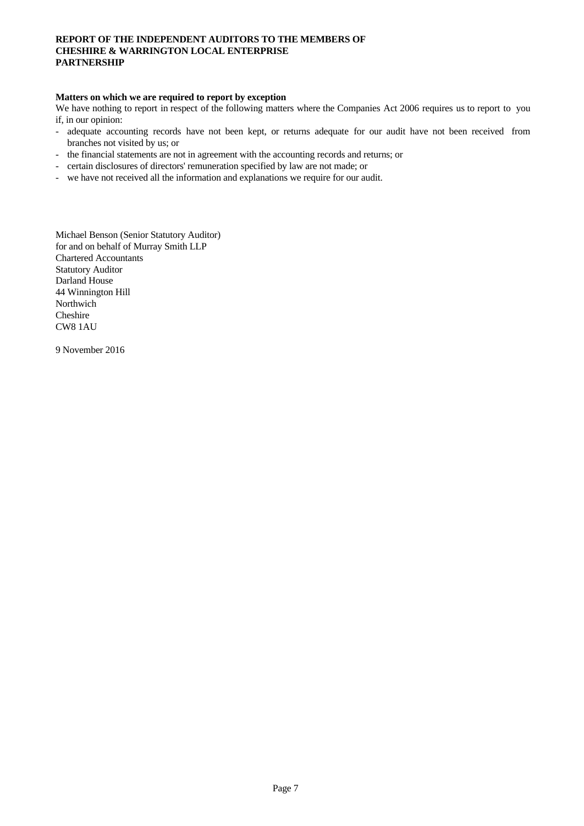# **REPORT OF THE INDEPENDENT AUDITORS TO THE MEMBERS OF CHESHIRE & WARRINGTON LOCAL ENTERPRISE PARTNERSHIP**

### **Matters on which we are required to report by exception**

We have nothing to report in respect of the following matters where the Companies Act 2006 requires us to report to you

- if, in our opinion:<br>- adequate accounting records have not been kept, or returns adequate for our audit have not been received from
- branches not visited by us; or<br>the financial statements are not in agreement with the accounting records and returns; or<br>ertain disclosures of directors' remuneration specified by law are not made; or<br>we have not received
- 
- 

Michael Benson (Senior Statutory Auditor) for and on behalf of Murray Smith LLP Chartered Accountants Statutory Auditor Darland House 44 Winnington Hill Northwich Cheshire CW8 1AU

9 November 2016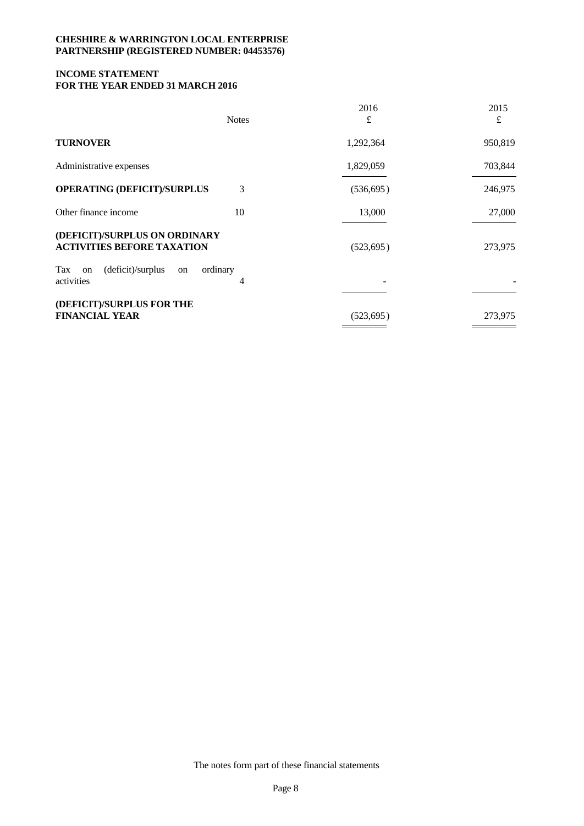# **INCOME STATEMENT FOR THE YEAR ENDED 31 MARCH 2016**

| <b>Notes</b>                                                        | 2016<br>£  | 2015<br>$\pounds$ |
|---------------------------------------------------------------------|------------|-------------------|
| <b>TURNOVER</b>                                                     | 1,292,364  | 950,819           |
| Administrative expenses                                             | 1,829,059  | 703,844           |
| <b>OPERATING (DEFICIT)/SURPLUS</b><br>3                             | (536, 695) | 246,975           |
| Other finance income<br>10                                          | 13,000     | 27,000            |
| (DEFICIT)/SURPLUS ON ORDINARY<br><b>ACTIVITIES BEFORE TAXATION</b>  | (523, 695) | 273,975           |
| (deficit)/surplus<br>Tax<br>ordinary<br>on<br>on<br>activities<br>4 |            |                   |
| (DEFICIT)/SURPLUS FOR THE<br><b>FINANCIAL YEAR</b>                  | (523, 695) | 273,975           |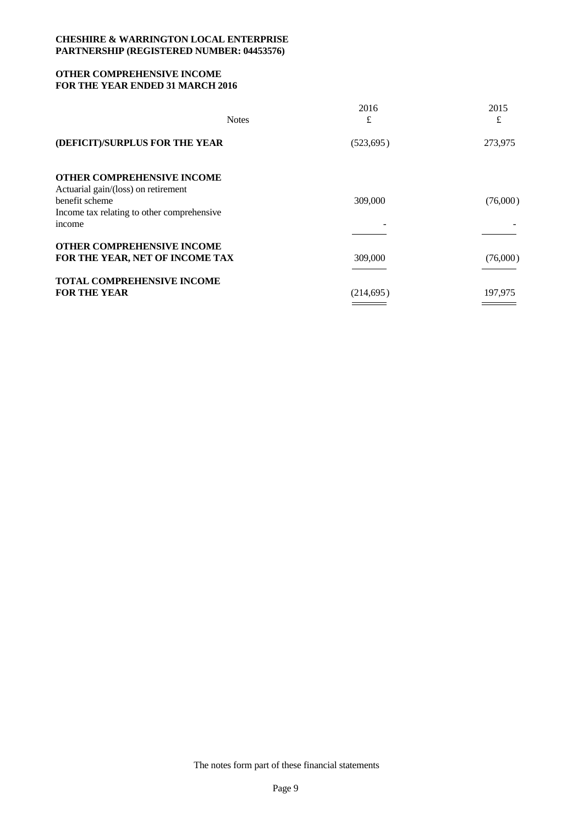# **OTHER COMPREHENSIVE INCOME FOR THE YEAR ENDED 31 MARCH 2016**

| 2016<br>£  | 2015<br>£ |
|------------|-----------|
| (523, 695) | 273,975   |
|            |           |
| 309,000    | (76,000)  |
|            |           |
|            |           |
|            |           |
| 309,000    | (76,000)  |
| (214, 695) | 197,975   |
|            |           |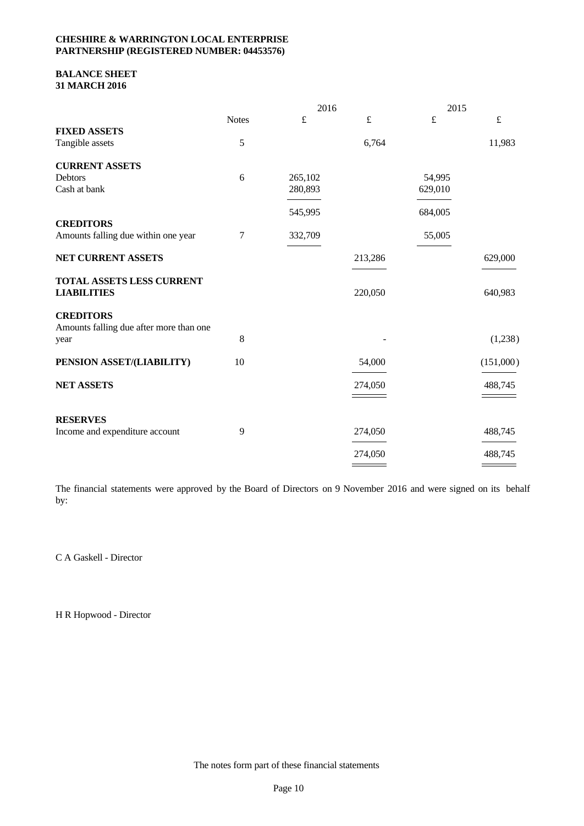## **BALANCE SHEET 31 MARCH 2016**

|                                         |               | 2016      |           | 2015      |           |
|-----------------------------------------|---------------|-----------|-----------|-----------|-----------|
|                                         | <b>Notes</b>  | $\pounds$ | $\pounds$ | $\pounds$ | $\pounds$ |
| <b>FIXED ASSETS</b>                     |               |           |           |           |           |
| Tangible assets                         | $\mathfrak s$ |           | 6,764     |           | 11,983    |
| <b>CURRENT ASSETS</b>                   |               |           |           |           |           |
| <b>Debtors</b>                          | 6             | 265,102   |           | 54,995    |           |
| Cash at bank                            |               | 280,893   |           | 629,010   |           |
|                                         |               | 545,995   |           | 684,005   |           |
| <b>CREDITORS</b>                        |               |           |           |           |           |
| Amounts falling due within one year     | 7             | 332,709   |           | 55,005    |           |
| NET CURRENT ASSETS                      |               |           | 213,286   |           | 629,000   |
| TOTAL ASSETS LESS CURRENT               |               |           |           |           |           |
| <b>LIABILITIES</b>                      |               |           | 220,050   |           | 640,983   |
| <b>CREDITORS</b>                        |               |           |           |           |           |
| Amounts falling due after more than one |               |           |           |           |           |
| year                                    | $\,8\,$       |           |           |           | (1,238)   |
| PENSION ASSET/(LIABILITY)               | 10            |           | 54,000    |           | (151,000) |
| <b>NET ASSETS</b>                       |               |           | 274,050   |           | 488,745   |
|                                         |               |           |           |           |           |
| <b>RESERVES</b>                         |               |           |           |           |           |
| Income and expenditure account          | 9             |           | 274,050   |           | 488,745   |
|                                         |               |           | 274,050   |           | 488,745   |
|                                         |               |           |           |           |           |

The financial statements were approved by the Board of Directors on 9 November 2016 and were signed on its behalf by:

C A Gaskell - Director

H R Hopwood - Director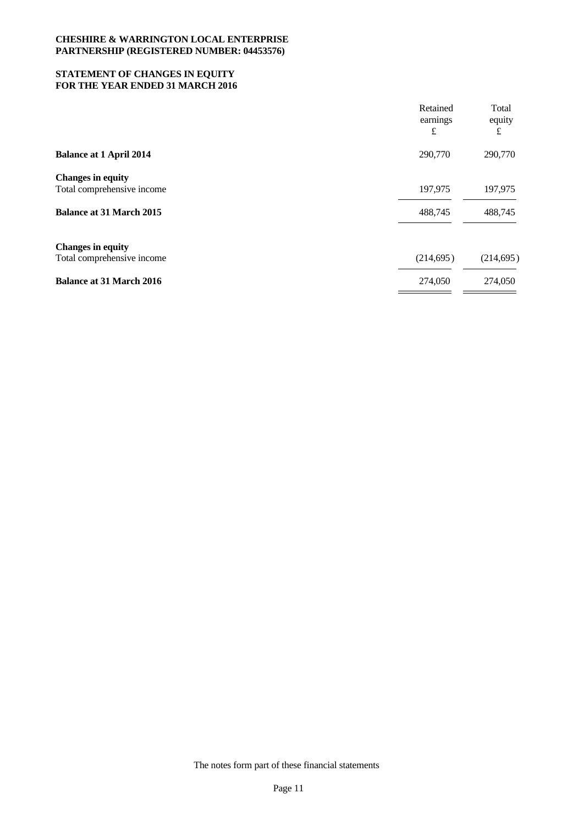# **STATEMENT OF CHANGES IN EQUITY FOR THE YEAR ENDED 31 MARCH 2016**

|                                                                                           | Retained<br>earnings<br>£ | Total<br>equity<br>£ |  |
|-------------------------------------------------------------------------------------------|---------------------------|----------------------|--|
| <b>Balance at 1 April 2014</b>                                                            | 290,770                   | 290,770              |  |
| <b>Changes in equity</b><br>Total comprehensive income<br><b>Balance at 31 March 2015</b> | 197,975<br>488,745        | 197,975<br>488,745   |  |
| <b>Changes in equity</b><br>Total comprehensive income                                    | (214, 695)                | (214, 695)           |  |
| <b>Balance at 31 March 2016</b>                                                           | 274,050                   | 274,050              |  |
|                                                                                           |                           |                      |  |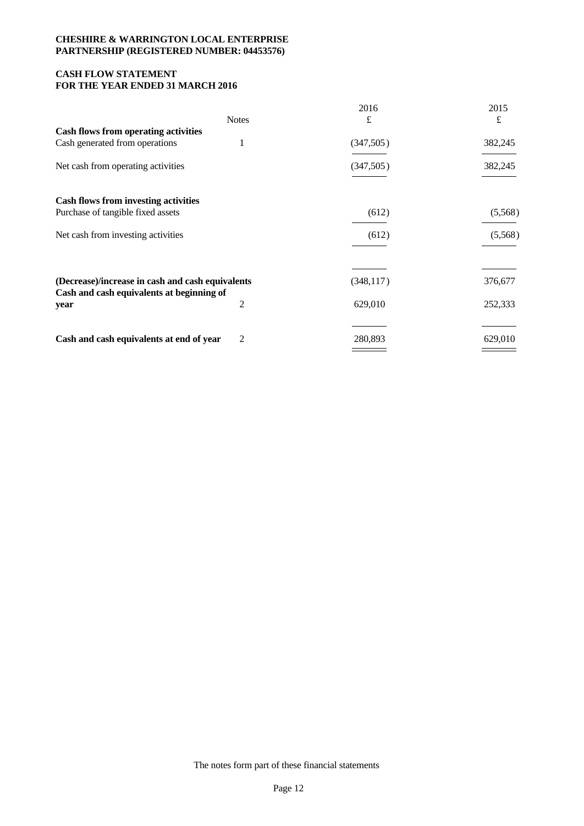# **CASH FLOW STATEMENT FOR THE YEAR ENDED 31 MARCH 2016**

| <b>Notes</b>                                                                                  | 2016<br>£  | 2015<br>£ |
|-----------------------------------------------------------------------------------------------|------------|-----------|
| <b>Cash flows from operating activities</b>                                                   |            |           |
| Cash generated from operations                                                                | (347, 505) | 382,245   |
| Net cash from operating activities                                                            | (347,505)  | 382,245   |
| <b>Cash flows from investing activities</b>                                                   |            |           |
| Purchase of tangible fixed assets                                                             | (612)      | (5,568)   |
| Net cash from investing activities                                                            | (612)      | (5,568)   |
|                                                                                               |            |           |
| (Decrease)/increase in cash and cash equivalents<br>Cash and cash equivalents at beginning of | (348, 117) | 376,677   |
| 2<br>year                                                                                     | 629,010    | 252,333   |
|                                                                                               |            |           |
| Cash and cash equivalents at end of year<br>2                                                 | 280,893    | 629,010   |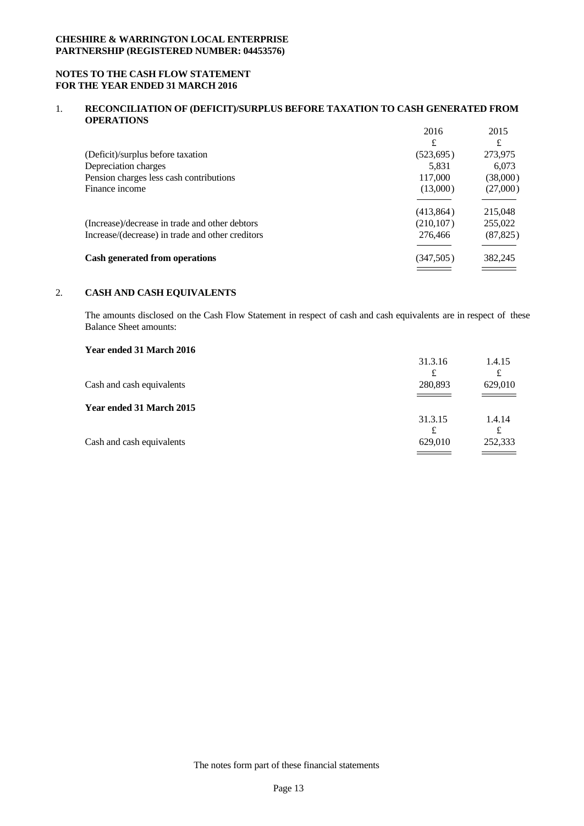# **NOTES TO THE CASH FLOW STATEMENT FOR THE YEAR ENDED 31 MARCH 2016**

### 1. **RECONCILIATION OF (DEFICIT)/SURPLUS BEFORE TAXATION TO CASH GENERATED FROM OPERATIONS**

|                                                  | 2016       | 2015      |  |
|--------------------------------------------------|------------|-----------|--|
|                                                  | £          | £         |  |
| (Deficit)/surplus before taxation                | (523, 695) | 273,975   |  |
| Depreciation charges                             | 5.831      | 6.073     |  |
| Pension charges less cash contributions          | 117,000    | (38,000)  |  |
| Finance income                                   | (13,000)   | (27,000)  |  |
|                                                  |            |           |  |
|                                                  | (413,864)  | 215,048   |  |
| (Increase)/decrease in trade and other debtors   | (210, 107) | 255,022   |  |
| Increase/(decrease) in trade and other creditors | 276,466    | (87, 825) |  |
|                                                  |            |           |  |
| Cash generated from operations                   | (347,505)  | 382,245   |  |
|                                                  |            |           |  |

# 2. **CASH AND CASH EQUIVALENTS**

The amounts disclosed on the Cash Flow Statement in respect of cash and cash equivalents are in respect of these Balance Sheet amounts:

### **Year ended 31 March 2016**

|                           | 31.3.16 | 1.4.15  |  |
|---------------------------|---------|---------|--|
|                           | £       | ىل      |  |
| Cash and cash equivalents | 280,893 | 629,010 |  |
|                           |         | $ -$    |  |
| Year ended 31 March 2015  |         |         |  |
|                           | 31.3.15 | 1.4.14  |  |
|                           | £       | t       |  |
| Cash and cash equivalents | 629,010 | 252,333 |  |
|                           |         |         |  |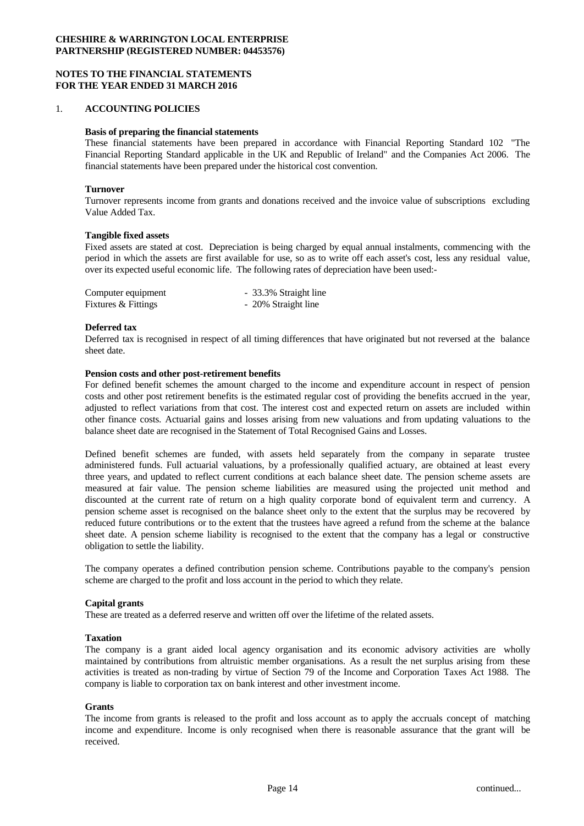### **NOTES TO THE FINANCIAL STATEMENTS FOR THE YEAR ENDED 31 MARCH 2016**

### 1. **ACCOUNTING POLICIES**

#### **Basis of preparing the financial statements**

These financial statements have been prepared in accordance with Financial Reporting Standard 102 "The Financial Reporting Standard applicable in the UK and Republic of Ireland" and the Companies Act 2006. The financial statements have been prepared under the historical cost convention.

#### **Turnover**

Turnover represents income from grants and donations received and the invoice value of subscriptions excluding Value Added Tax.

#### **Tangible fixed assets**

Fixed assets are stated at cost. Depreciation is being charged by equal annual instalments, commencing with the period in which the assets are first available for use, so as to write off each asset's cost, less any residual value, over its expected useful economic life. The following rates of depreciation have been used:-

| Computer equipment  | - 33.3% Straight line |
|---------------------|-----------------------|
| Fixtures & Fittings | - 20% Straight line   |

#### **Deferred tax**

Deferred tax is recognised in respect of all timing differences that have originated but not reversed at the balance sheet date.

#### **Pension costs and other post-retirement benefits**

For defined benefit schemes the amount charged to the income and expenditure account in respect of pension costs and other post retirement benefits is the estimated regular cost of providing the benefits accrued in the year, adjusted to reflect variations from that cost. The interest cost and expected return on assets are included within other finance costs. Actuarial gains and losses arising from new valuations and from updating valuations to the balance sheet date are recognised in the Statement of Total Recognised Gains and Losses.

Defined benefit schemes are funded, with assets held separately from the company in separate trustee administered funds. Full actuarial valuations, by a professionally qualified actuary, are obtained at least every three years, and updated to reflect current conditions at each balance sheet date. The pension scheme assets are measured at fair value. The pension scheme liabilities are measured using the projected unit method and discounted at the current rate of return on a high quality corporate bond of equivalent term and currency. A pension scheme asset is recognised on the balance sheet only to the extentthat the surplus may be recovered by reduced future contributions or to the extent that the trustees have agreed a refund from the scheme at the balance sheet date. A pension scheme liability is recognised to the extent that the company has a legal or constructive obligation to settle the liability.

The company operates a defined contribution pension scheme. Contributions payable to the company's pension scheme are charged to the profit and loss account in the period to which they relate.

#### **Capital grants**

These are treated as a deferred reserve and written off over the lifetime of the related assets.

#### **Taxation**

The company is a grant aided local agency organisation and its economic advisory activities are wholly maintained by contributions from altruistic member organisations. As a result the net surplus arising from these activities is treated as non-trading by virtue of Section 79 of the Income and Corporation Taxes Act 1988. The company is liable to corporation tax on bank interest and other investment income.

#### **Grants**

The income from grants is released to the profit and loss account as to apply the accruals concept of matching income and expenditure. Income is only recognised when there is reasonable assurance that the grant will be received.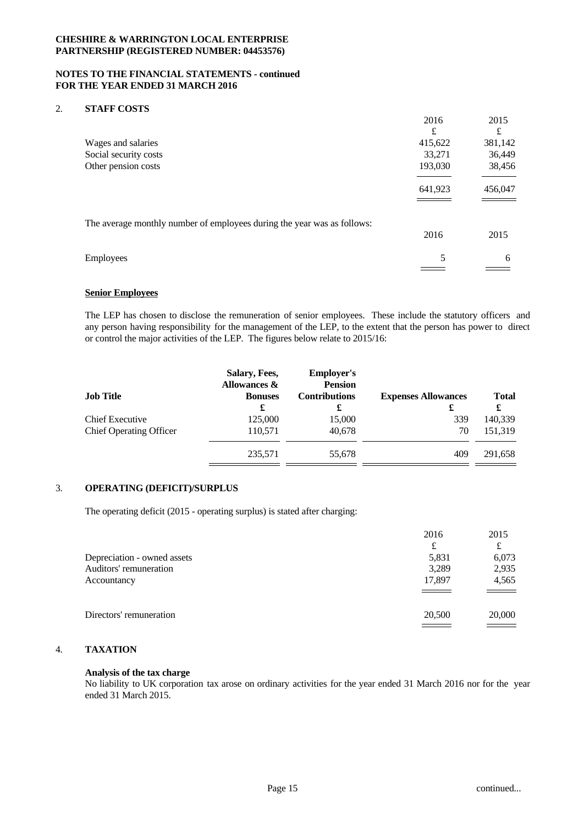### **NOTES TO THE FINANCIAL STATEMENTS - continued FOR THE YEAR ENDED 31 MARCH 2016**

# 2. **STAFF COSTS**

|                                                                         | 2016<br>£ | 2015<br>£ |  |
|-------------------------------------------------------------------------|-----------|-----------|--|
| Wages and salaries                                                      | 415,622   | 381,142   |  |
| Social security costs                                                   | 33,271    | 36,449    |  |
| Other pension costs                                                     | 193,030   | 38,456    |  |
|                                                                         | 641,923   | 456,047   |  |
| The average monthly number of employees during the year was as follows: | 2016      | 2015      |  |
| Employees                                                               | 5         | 6         |  |
|                                                                         |           |           |  |

#### **Senior Employees**

The LEP has chosen to disclose the remuneration of senior employees. These include the statutory officers and any person having responsibility for the management of the LEP, to the extent that the person has power to direct or control the major activities of the LEP. The figures below relate to 2015/16:

|                                | Salary, Fees,<br>Allowances & | <b>Employer's</b><br><b>Pension</b> |                                 |                   |
|--------------------------------|-------------------------------|-------------------------------------|---------------------------------|-------------------|
| <b>Job Title</b>               | <b>Bonuses</b><br>£           | <b>Contributions</b><br>£           | <b>Expenses Allowances</b><br>£ | <b>Total</b><br>£ |
| Chief Executive                | 125,000                       | 15,000                              | 339                             | 140,339           |
| <b>Chief Operating Officer</b> | 110,571                       | 40.678                              | 70                              | 151,319           |
|                                | 235,571                       | 55,678                              | 409                             | 291,658           |

# 3. **OPERATING (DEFICIT)/SURPLUS**

The operating deficit (2015 - operating surplus) is stated after charging:

|                             | 2016                                      | 2015   |  |
|-----------------------------|-------------------------------------------|--------|--|
|                             | £                                         | £      |  |
| Depreciation - owned assets | 5,831                                     | 6,073  |  |
| Auditors' remuneration      | 3,289                                     | 2,935  |  |
| Accountancy                 | 17,897                                    | 4,565  |  |
|                             | $\qquad \qquad \overline{\qquad \qquad }$ |        |  |
| Directors' remuneration     | 20,500                                    | 20,000 |  |
|                             | $\overline{\phantom{a}}$                  |        |  |

### 4. **TAXATION**

# **Analysis of the tax charge**

No liability to UK corporation tax arose on ordinary activities for the year ended 31 March 2016 nor for the year ended 31 March 2015.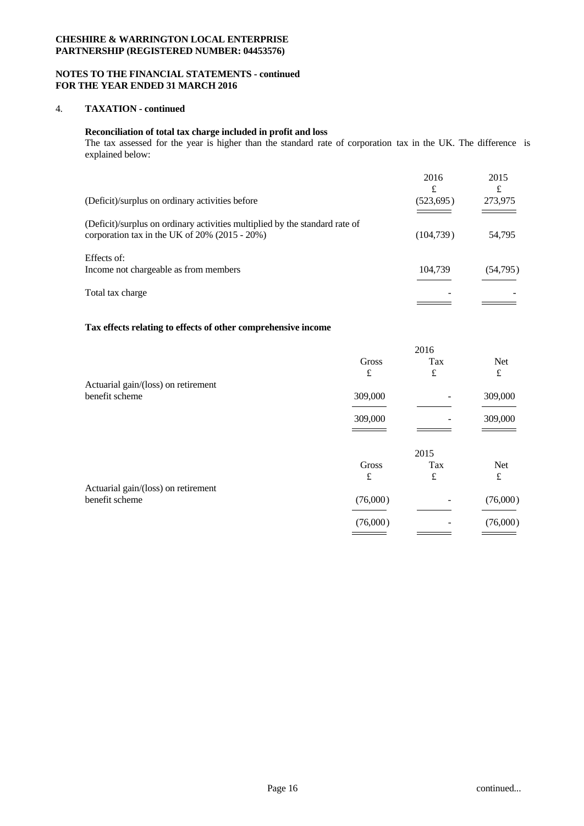### **NOTES TO THE FINANCIAL STATEMENTS - continued FOR THE YEAR ENDED 31 MARCH 2016**

# 4. **TAXATION - continued**

## **Reconciliation of total tax charge included in profit and loss**

The tax assessed for the year is higher than the standard rate of corporation tax in the UK. The difference is explained below:

| (Deficit)/surplus on ordinary activities before                                                                                     | 2016<br>£<br>(523, 695) | 2015<br>£<br>273,975 |  |
|-------------------------------------------------------------------------------------------------------------------------------------|-------------------------|----------------------|--|
| (Deficit)/surplus on ordinary activities multiplied by the standard rate of<br>corporation tax in the UK of $20\%$ (2015 - $20\%$ ) | (104, 739)              | 54.795               |  |
| Effects of:<br>Income not chargeable as from members                                                                                | 104,739                 | (54, 795)            |  |
| Total tax charge                                                                                                                    |                         |                      |  |

### **Tax effects relating to effects of other comprehensive income**

|                                     |          | 2016 |            |  |
|-------------------------------------|----------|------|------------|--|
|                                     | Gross    | Tax  | <b>Net</b> |  |
|                                     | £        | £    | £          |  |
| Actuarial gain/(loss) on retirement |          |      |            |  |
| benefit scheme                      | 309,000  | -    | 309,000    |  |
|                                     |          |      |            |  |
|                                     | 309,000  |      | 309,000    |  |
|                                     |          |      |            |  |
|                                     |          | 2015 |            |  |
|                                     | Gross    | Tax  | <b>Net</b> |  |
|                                     | £        | £    | £          |  |
| Actuarial gain/(loss) on retirement |          |      |            |  |
| benefit scheme                      | (76,000) | ۰.   | (76,000)   |  |
|                                     | (76,000) |      | (76,000)   |  |
|                                     |          |      |            |  |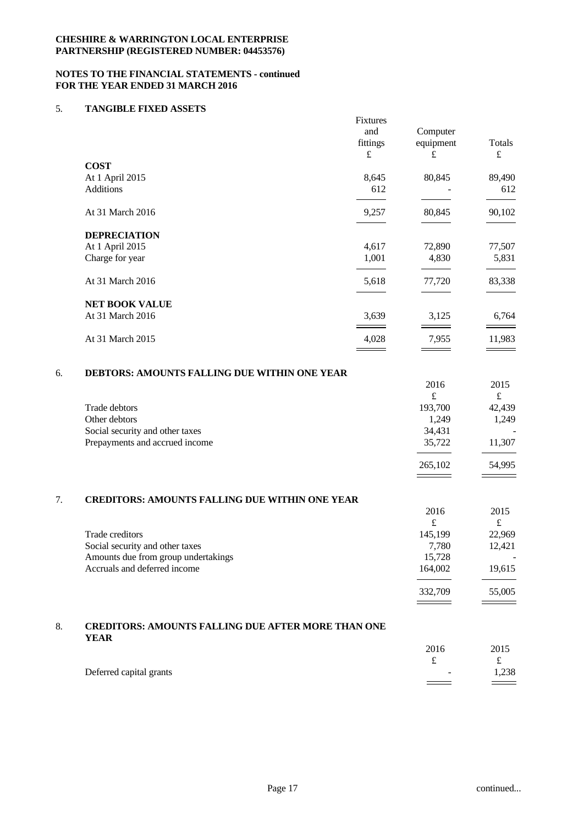### **NOTES TO THE FINANCIAL STATEMENTS - continued FOR THE YEAR ENDED 31 MARCH 2016**

### 5. **TANGIBLE FIXED ASSETS**

|                       | Fixtures |           |        |  |
|-----------------------|----------|-----------|--------|--|
|                       | and      | Computer  |        |  |
|                       | fittings | equipment | Totals |  |
|                       | £        | £         | £      |  |
| <b>COST</b>           |          |           |        |  |
| At 1 April 2015       | 8,645    | 80,845    | 89,490 |  |
| <b>Additions</b>      | 612      |           | 612    |  |
|                       |          |           |        |  |
| At 31 March 2016      | 9,257    | 80,845    | 90,102 |  |
|                       |          |           |        |  |
| <b>DEPRECIATION</b>   |          |           |        |  |
| At 1 April 2015       | 4,617    | 72,890    | 77,507 |  |
| Charge for year       | 1,001    | 4,830     | 5,831  |  |
|                       |          |           |        |  |
| At 31 March 2016      | 5,618    | 77,720    | 83,338 |  |
|                       |          |           |        |  |
| <b>NET BOOK VALUE</b> |          |           |        |  |
| At 31 March 2016      | 3,639    | 3,125     | 6,764  |  |
|                       |          |           |        |  |
| At 31 March 2015      | 4,028    | 7,955     | 11,983 |  |
|                       |          |           |        |  |

## 6. **DEBTORS: AMOUNTS FALLING DUE WITHIN ONE YEAR**

|                                 | 2016    | 2015   |  |
|---------------------------------|---------|--------|--|
|                                 | £       | £      |  |
| Trade debtors                   | 193,700 | 42,439 |  |
| Other debtors                   | 1,249   | 1,249  |  |
| Social security and other taxes | 34,431  |        |  |
| Prepayments and accrued income  | 35,722  | 11,307 |  |
|                                 |         |        |  |
|                                 | 265,102 | 54,995 |  |
|                                 |         |        |  |

### 7. **CREDITORS: AMOUNTS FALLING DUE WITHIN ONE YEAR**

|                                     | 2016    | 2015   |  |
|-------------------------------------|---------|--------|--|
|                                     | £       | £      |  |
| Trade creditors                     | 145,199 | 22,969 |  |
| Social security and other taxes     | 7,780   | 12.421 |  |
| Amounts due from group undertakings | 15,728  |        |  |
| Accruals and deferred income        | 164,002 | 19,615 |  |
|                                     |         |        |  |
|                                     | 332,709 | 55,005 |  |
|                                     |         |        |  |

# 8. **CREDITORS: AMOUNTS FALLING DUE AFTER MORE THAN ONE YEAR**

|                         | 2016                     | 2015                                  |
|-------------------------|--------------------------|---------------------------------------|
|                         | ~                        | ىمە                                   |
| Deferred capital grants | $\overline{\phantom{a}}$ | 1,238                                 |
|                         |                          | $\qquad \qquad \qquad =\qquad \qquad$ |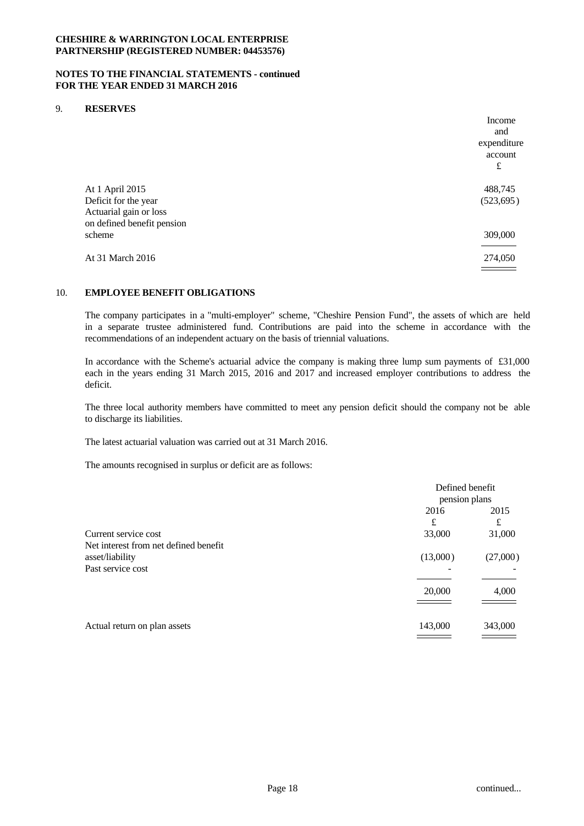### **NOTES TO THE FINANCIAL STATEMENTS - continued FOR THE YEAR ENDED 31 MARCH 2016**

#### 9. **RESERVES**

|                            | Income      |
|----------------------------|-------------|
|                            | and         |
|                            | expenditure |
|                            | account     |
|                            | £           |
|                            |             |
| At 1 April 2015            | 488,745     |
| Deficit for the year       | (523, 695)  |
| Actuarial gain or loss     |             |
| on defined benefit pension |             |
| scheme                     | 309,000     |
|                            |             |
| At 31 March 2016           | 274,050     |
|                            |             |

# 10. **EMPLOYEE BENEFIT OBLIGATIONS**

The company participates in a "multi-employer" scheme, "Cheshire Pension Fund", the assets of which are held in a separate trustee administered fund. Contributions are paid into the scheme in accordance with the recommendations of an independent actuary on the basis of triennial valuations.

In accordance with the Scheme's actuarial advice the company is making three lump sum payments of £31,000 each in the years ending 31 March 2015, 2016 and 2017 and increased employer contributions to address the deficit.

The three local authority members have committed to meet any pension deficit should the company not be able to discharge its liabilities.

The latest actuarial valuation was carried out at 31 March 2016.

The amounts recognised in surplus or deficit are as follows:

|                                                               | Defined benefit<br>pension plans |           |
|---------------------------------------------------------------|----------------------------------|-----------|
|                                                               | 2016<br>£                        | 2015<br>£ |
| Current service cost<br>Net interest from net defined benefit | 33,000                           | 31,000    |
| asset/liability<br>Past service cost                          | (13,000)                         | (27,000)  |
|                                                               |                                  |           |
|                                                               | 20,000                           | 4,000     |
| Actual return on plan assets                                  | 143,000                          | 343,000   |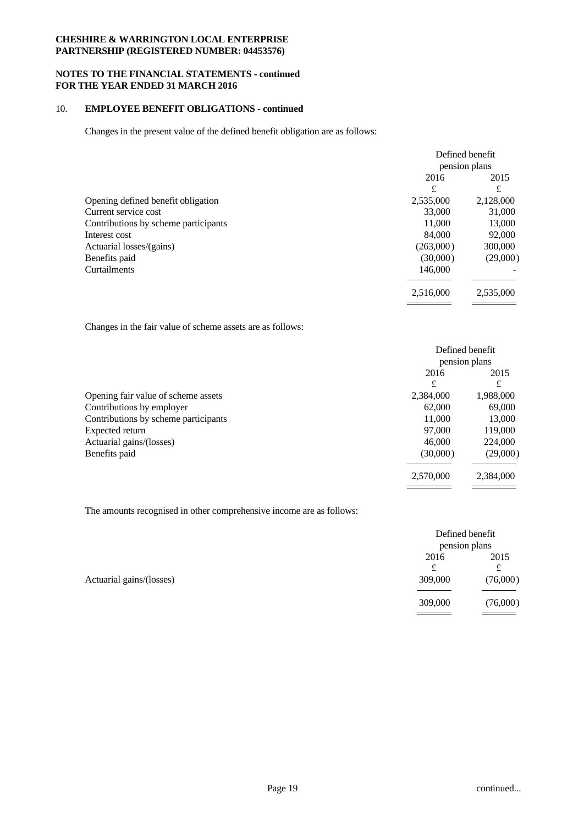### **NOTES TO THE FINANCIAL STATEMENTS - continued FOR THE YEAR ENDED 31 MARCH 2016**

# 10. **EMPLOYEE BENEFIT OBLIGATIONS - continued**

Changes in the present value of the defined benefit obligation are as follows:

| pension plans<br>2016<br>£<br>2,535,000<br>33,000 | 2015<br>£<br>2,128,000<br>31,000 |
|---------------------------------------------------|----------------------------------|
|                                                   |                                  |
|                                                   |                                  |
|                                                   |                                  |
|                                                   |                                  |
|                                                   |                                  |
| 11,000                                            | 13,000                           |
| 84,000                                            | 92,000                           |
| (263,000)                                         | 300,000                          |
| (30,000)                                          | (29,000)                         |
| 146,000                                           | $\overline{\phantom{0}}$         |
|                                                   | 2,535,000                        |
|                                                   | 2,516,000                        |

Changes in the fair value of scheme assets are as follows:

|                                      | Defined benefit<br>pension plans |           |  |
|--------------------------------------|----------------------------------|-----------|--|
|                                      |                                  |           |  |
|                                      | 2016                             | 2015      |  |
|                                      | £                                | £         |  |
| Opening fair value of scheme assets  | 2,384,000                        | 1,988,000 |  |
| Contributions by employer            | 62,000                           | 69,000    |  |
| Contributions by scheme participants | 11,000                           | 13,000    |  |
| Expected return                      | 97,000                           | 119,000   |  |
| Actuarial gains/(losses)             | 46,000                           | 224,000   |  |
| Benefits paid                        | (30,000)                         | (29,000)  |  |
|                                      | 2,570,000                        | 2,384,000 |  |
|                                      |                                  |           |  |

The amounts recognised in other comprehensive income are as follows:

|                          | Defined benefit<br>pension plans |               |
|--------------------------|----------------------------------|---------------|
| Actuarial gains/(losses) | 2016                             | 2015          |
|                          | £                                | £             |
|                          | 309,000                          | (76,000)      |
|                          | 309,000                          | (76,000)      |
|                          |                                  | $\frac{1}{1}$ |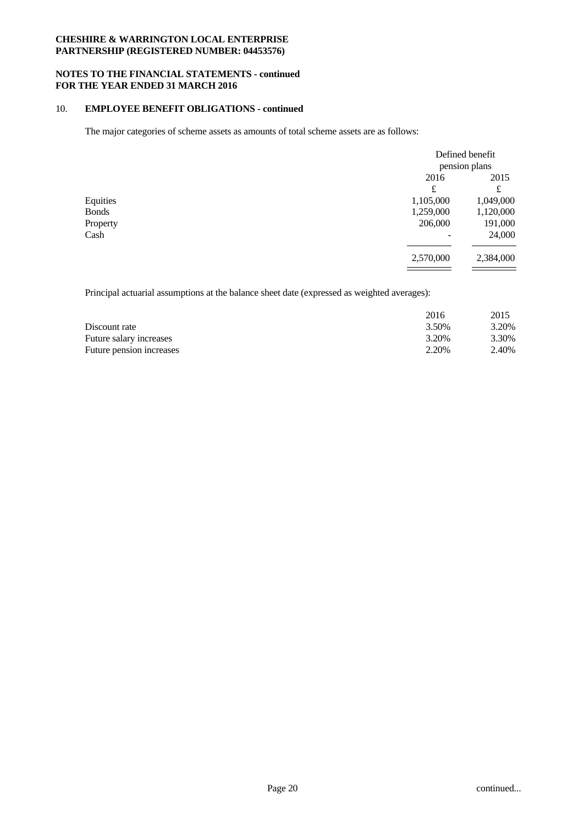### **NOTES TO THE FINANCIAL STATEMENTS - continued FOR THE YEAR ENDED 31 MARCH 2016**

# 10. **EMPLOYEE BENEFIT OBLIGATIONS - continued**

The major categories of scheme assets as amounts of total scheme assets are as follows:

|              |                          | Defined benefit |  |
|--------------|--------------------------|-----------------|--|
|              | pension plans            |                 |  |
|              | 2016                     | 2015            |  |
|              | £                        | £               |  |
| Equities     | 1,105,000                | 1,049,000       |  |
| <b>Bonds</b> | 1,259,000                | 1,120,000       |  |
| Property     | 206,000                  | 191,000         |  |
| Cash         | $\overline{\phantom{a}}$ | 24,000          |  |
|              |                          |                 |  |
|              | 2,570,000                | 2,384,000       |  |
|              |                          |                 |  |

Principal actuarial assumptions at the balance sheet date (expressed as weighted averages):

|                          | 2016  | 2015  |  |
|--------------------------|-------|-------|--|
| Discount rate            | 3.50% | 3.20% |  |
| Future salary increases  | 3.20% | 3.30% |  |
| Future pension increases | 2.20% | 2.40% |  |
|                          |       |       |  |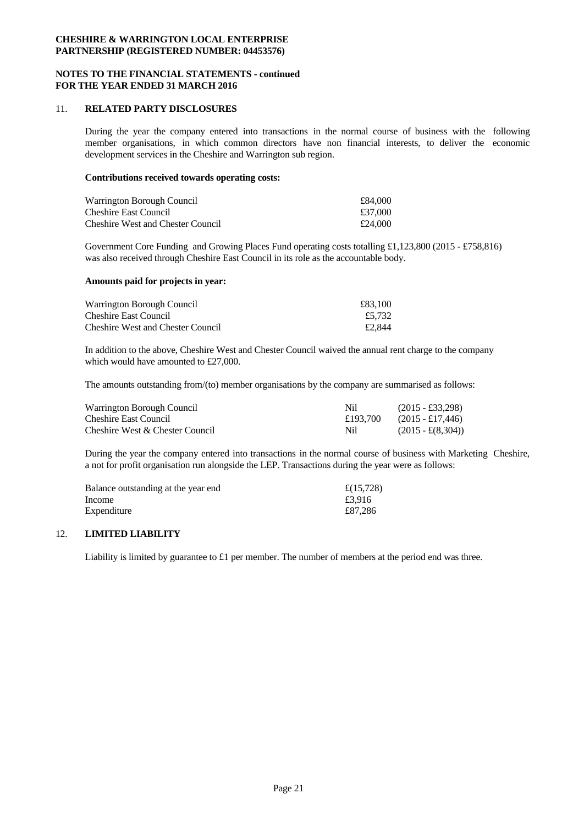### **NOTES TO THE FINANCIAL STATEMENTS - continued FOR THE YEAR ENDED 31 MARCH 2016**

#### 11. **RELATED PARTY DISCLOSURES**

During the year the company entered into transactions in the normal course of business with the following member organisations, in which common directors have non financial interests, to deliver the economic development services in the Cheshire and Warrington sub region.

### **Contributions received towards operating costs:**

| Warrington Borough Council               | £84,000 |  |
|------------------------------------------|---------|--|
| Cheshire East Council                    | £37,000 |  |
| <b>Cheshire West and Chester Council</b> | £24,000 |  |

Government Core Funding and Growing Places Fund operating costs totalling £1,123,800 (2015 - £758,816) was also received through Cheshire East Council in its role as the accountable body.

#### **Amounts paid for projects in year:**

| Warrington Borough Council               | £83.100 |  |
|------------------------------------------|---------|--|
| <b>Cheshire East Council</b>             | £5.732  |  |
| <b>Cheshire West and Chester Council</b> | £2,844  |  |

In addition to the above, Cheshire West and Chester Council waived the annual rent charge to the company which would have amounted to £27,000.

The amounts outstanding from/(to) member organisations by the company are summarised as follows:

| Warrington Borough Council      | Nil      | $(2015 - \pounds33, 298)$ |
|---------------------------------|----------|---------------------------|
| <b>Cheshire East Council</b>    | £193.700 | $(2015 - \pounds17,446)$  |
| Cheshire West & Chester Council | Nil      | $(2015 - \pounds(8.304))$ |

During the year the company entered into transactions in the normalcourse of business with Marketing Cheshire, a not for profit organisation run alongside the LEP. Transactions during the year were as follows:

| Balance outstanding at the year end | £ $(15,728)$ |
|-------------------------------------|--------------|
| Income                              | £3.916       |
| Expenditure                         | £87.286      |

### 12. **LIMITED LIABILITY**

Liability is limited by guarantee to £1 per member. The number of members at the period end was three.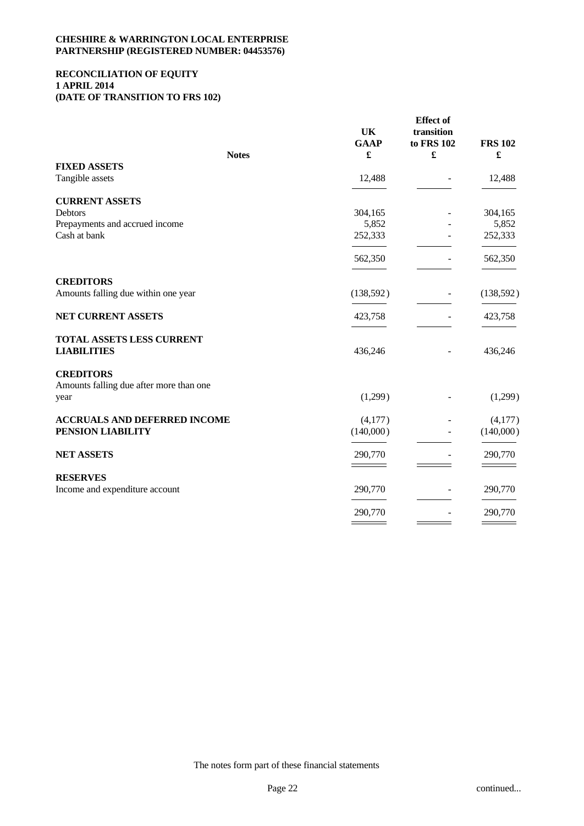# **RECONCILIATION OF EQUITY 1 APRIL 2014 (DATE OF TRANSITION TO FRS 102)**

|                                         | <b>UK</b><br><b>GAAP</b> | <b>Effect of</b><br>transition<br>to FRS 102 | <b>FRS 102</b> |
|-----------------------------------------|--------------------------|----------------------------------------------|----------------|
| <b>Notes</b>                            | £                        | $\pmb{\mathfrak{L}}$                         | £              |
| <b>FIXED ASSETS</b>                     |                          |                                              |                |
| Tangible assets                         | 12,488                   |                                              | 12,488         |
| <b>CURRENT ASSETS</b>                   |                          |                                              |                |
| Debtors                                 | 304,165                  |                                              | 304,165        |
| Prepayments and accrued income          | 5,852                    |                                              | 5,852          |
| Cash at bank                            | 252,333                  |                                              | 252,333        |
|                                         | 562,350                  | $\overline{a}$                               | 562,350        |
| <b>CREDITORS</b>                        |                          |                                              |                |
| Amounts falling due within one year     | (138,592)                |                                              | (138, 592)     |
| NET CURRENT ASSETS                      | 423,758                  |                                              | 423,758        |
| TOTAL ASSETS LESS CURRENT               |                          |                                              |                |
| <b>LIABILITIES</b>                      | 436,246                  | $\qquad \qquad \blacksquare$                 | 436,246        |
| <b>CREDITORS</b>                        |                          |                                              |                |
| Amounts falling due after more than one |                          |                                              |                |
| year                                    | (1,299)                  |                                              | (1,299)        |
| <b>ACCRUALS AND DEFERRED INCOME</b>     | (4,177)                  |                                              | (4,177)        |
| PENSION LIABILITY                       | (140,000)                |                                              | (140,000)      |
| <b>NET ASSETS</b>                       | 290,770                  |                                              | 290,770        |
|                                         |                          |                                              |                |
| <b>RESERVES</b>                         |                          |                                              |                |
| Income and expenditure account          | 290,770                  |                                              | 290,770        |
|                                         | 290,770                  | $\overline{\phantom{a}}$                     | 290,770        |
|                                         |                          |                                              |                |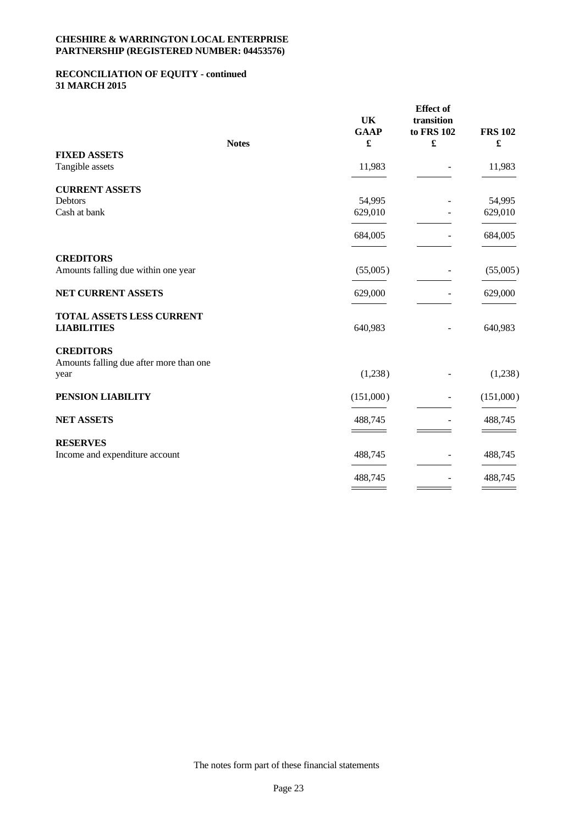# **RECONCILIATION OF EQUITY - continued 31 MARCH 2015**

|                                                 | UK<br><b>GAAP</b>                          | <b>Effect</b> of<br>transition<br>to FRS 102 | <b>FRS 102</b> |
|-------------------------------------------------|--------------------------------------------|----------------------------------------------|----------------|
| <b>Notes</b>                                    | £                                          | £                                            | £              |
| <b>FIXED ASSETS</b><br>Tangible assets          | 11,983                                     | $\overline{\phantom{a}}$                     | 11,983         |
| <b>CURRENT ASSETS</b>                           |                                            |                                              |                |
| Debtors                                         | 54,995                                     |                                              | 54,995         |
| Cash at bank                                    | 629,010                                    |                                              | 629,010        |
|                                                 | 684,005                                    | $\overline{a}$                               | 684,005        |
| <b>CREDITORS</b>                                |                                            |                                              |                |
| Amounts falling due within one year             | (55,005)                                   |                                              | (55,005)       |
| NET CURRENT ASSETS                              | 629,000                                    | $\overline{a}$                               | 629,000        |
| TOTAL ASSETS LESS CURRENT<br><b>LIABILITIES</b> | 640,983                                    | $\overline{\phantom{a}}$                     | 640,983        |
| <b>CREDITORS</b>                                |                                            |                                              |                |
| Amounts falling due after more than one         |                                            |                                              |                |
| year                                            | (1,238)                                    |                                              | (1,238)        |
| PENSION LIABILITY                               | (151,000)                                  | $\overline{\phantom{0}}$                     | (151,000)      |
| <b>NET ASSETS</b>                               | 488,745                                    |                                              | 488,745        |
| <b>RESERVES</b>                                 |                                            |                                              |                |
| Income and expenditure account                  | 488,745                                    |                                              | 488,745        |
|                                                 | 488,745                                    | $\overline{a}$                               | 488,745        |
|                                                 | <b>Contract Contract Contract Contract</b> |                                              |                |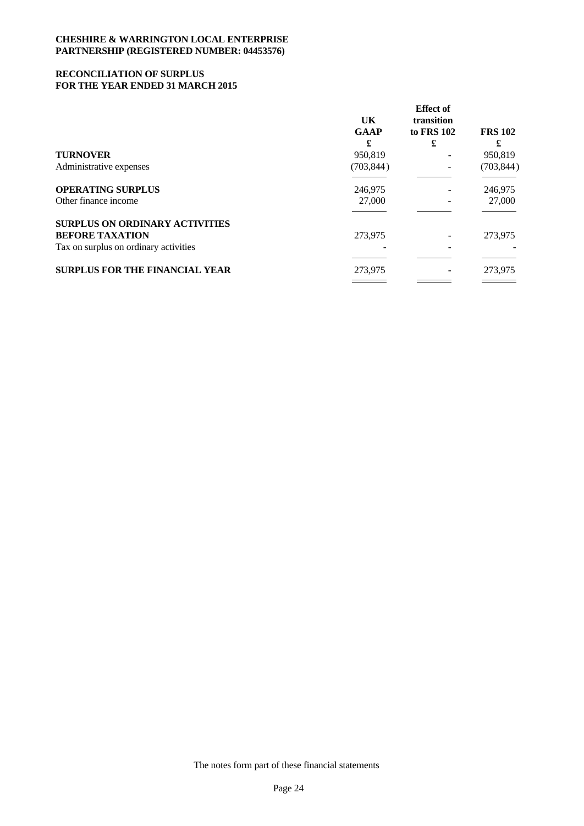# **RECONCILIATION OF SURPLUS FOR THE YEAR ENDED 31 MARCH 2015**

|                                       | UK.<br><b>GAAP</b><br>£ | <b>Effect of</b><br>transition<br>to FRS 102<br>£ | <b>FRS 102</b><br>£ |
|---------------------------------------|-------------------------|---------------------------------------------------|---------------------|
| <b>TURNOVER</b>                       | 950,819                 |                                                   | 950,819             |
| Administrative expenses               | (703, 844)              | $\overline{\phantom{a}}$                          | (703, 844)          |
| <b>OPERATING SURPLUS</b>              | 246,975                 |                                                   | 246,975             |
| Other finance income                  | 27,000                  |                                                   | 27,000              |
| <b>SURPLUS ON ORDINARY ACTIVITIES</b> |                         |                                                   |                     |
| <b>BEFORE TAXATION</b>                | 273,975                 |                                                   | 273,975             |
| Tax on surplus on ordinary activities |                         |                                                   |                     |
| <b>SURPLUS FOR THE FINANCIAL YEAR</b> | 273,975                 |                                                   | 273,975             |
|                                       |                         |                                                   |                     |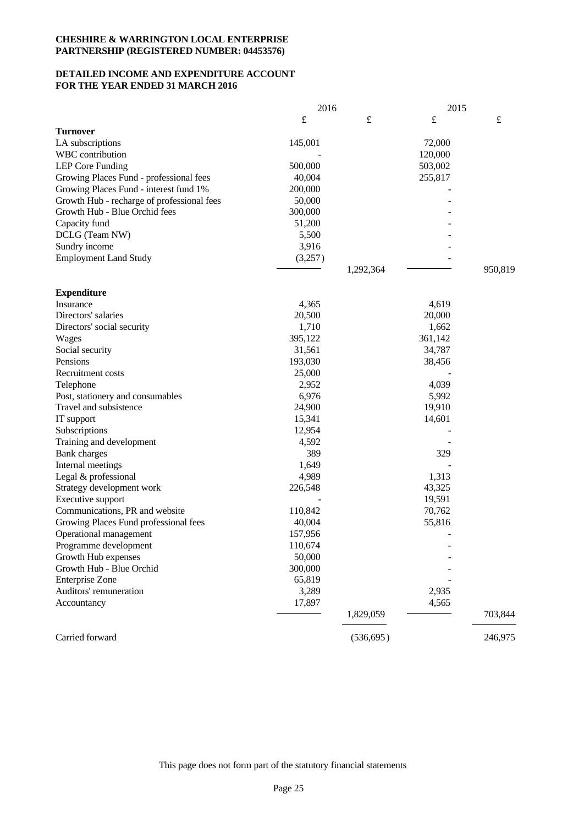# **DETAILED INCOME AND EXPENDITURE ACCOUNT FOR THE YEAR ENDED 31 MARCH 2016**

|                                            | 2016      |            | 2015      |           |
|--------------------------------------------|-----------|------------|-----------|-----------|
|                                            | $\pounds$ | £          | $\pounds$ | $\pounds$ |
| <b>Turnover</b>                            |           |            |           |           |
| LA subscriptions                           | 145,001   |            | 72,000    |           |
| WBC contribution                           |           |            | 120,000   |           |
| <b>LEP Core Funding</b>                    | 500,000   |            | 503,002   |           |
| Growing Places Fund - professional fees    | 40,004    |            | 255,817   |           |
| Growing Places Fund - interest fund 1%     | 200,000   |            |           |           |
| Growth Hub - recharge of professional fees | 50,000    |            |           |           |
| Growth Hub - Blue Orchid fees              | 300,000   |            |           |           |
| Capacity fund                              | 51,200    |            |           |           |
| DCLG (Team NW)                             | 5,500     |            |           |           |
| Sundry income                              | 3,916     |            |           |           |
| <b>Employment Land Study</b>               | (3,257)   |            |           |           |
|                                            |           | 1,292,364  |           | 950,819   |
|                                            |           |            |           |           |
| <b>Expenditure</b>                         |           |            |           |           |
| Insurance                                  | 4,365     |            | 4,619     |           |
| Directors' salaries                        | 20,500    |            | 20,000    |           |
| Directors' social security                 | 1,710     |            | 1,662     |           |
| Wages                                      | 395,122   |            | 361,142   |           |
| Social security                            | 31,561    |            | 34,787    |           |
| Pensions                                   | 193,030   |            | 38,456    |           |
| Recruitment costs                          | 25,000    |            |           |           |
| Telephone                                  | 2,952     |            | 4,039     |           |
| Post, stationery and consumables           | 6,976     |            | 5,992     |           |
| Travel and subsistence                     | 24,900    |            | 19,910    |           |
| IT support                                 | 15,341    |            | 14,601    |           |
| Subscriptions                              | 12,954    |            |           |           |
| Training and development                   | 4,592     |            |           |           |
| <b>Bank</b> charges                        | 389       |            | 329       |           |
| Internal meetings                          | 1,649     |            |           |           |
| Legal & professional                       | 4,989     |            | 1,313     |           |
| Strategy development work                  | 226,548   |            | 43,325    |           |
| Executive support                          |           |            | 19,591    |           |
| Communications, PR and website             | 110,842   |            | 70,762    |           |
| Growing Places Fund professional fees      | 40,004    |            | 55,816    |           |
| Operational management                     | 157,956   |            |           |           |
| Programme development                      | 110,674   |            |           |           |
| Growth Hub expenses                        | 50,000    |            |           |           |
| Growth Hub - Blue Orchid                   | 300,000   |            |           |           |
| <b>Enterprise Zone</b>                     | 65,819    |            |           |           |
|                                            |           |            |           |           |
| Auditors' remuneration                     | 3,289     |            | 2,935     |           |
| Accountancy                                | 17,897    | 1,829,059  | 4,565     | 703,844   |
|                                            |           |            |           |           |
| Carried forward                            |           | (536, 695) |           | 246,975   |